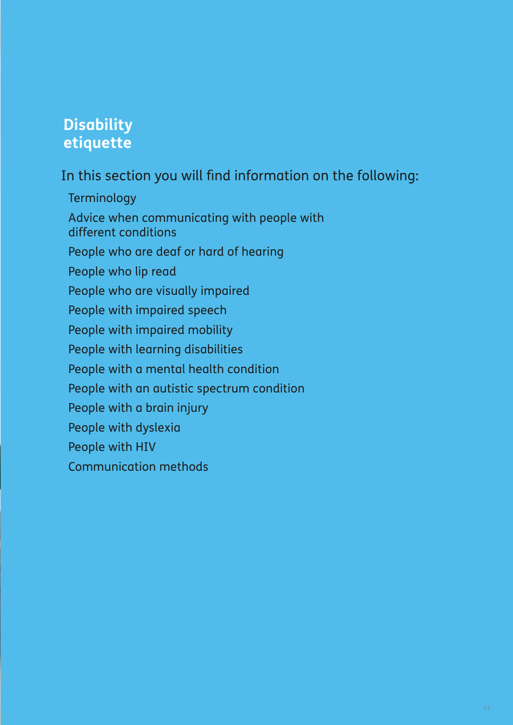# **Disability etiquette**

In this section you will find information on the following:

Terminology Advice when communicating with people with different conditions People who are deaf or hard of hearing People who lip read People who are visually impaired People with impaired speech People with impaired mobility People with learning disabilities People with a mental health condition People with an autistic spectrum condition People with a brain injury People with dyslexia People with HIV Communication methods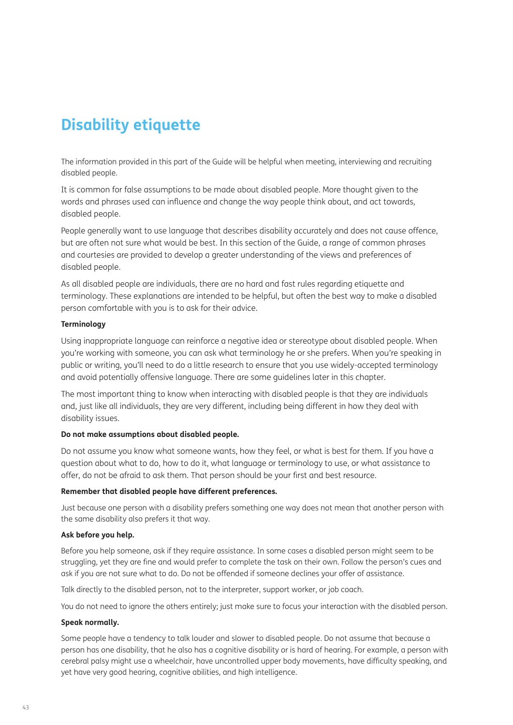# **Disability etiquette**

The information provided in this part of the Guide will be helpful when meeting, interviewing and recruiting disabled people.

It is common for false assumptions to be made about disabled people. More thought given to the words and phrases used can influence and change the way people think about, and act towards, disabled people.

People generally want to use language that describes disability accurately and does not cause offence, but are often not sure what would be best. In this section of the Guide, a range of common phrases and courtesies are provided to develop a greater understanding of the views and preferences of disabled people.

As all disabled people are individuals, there are no hard and fast rules regarding etiquette and terminology. These explanations are intended to be helpful, but often the best way to make a disabled person comfortable with you is to ask for their advice.

# **Terminology**

Using inappropriate language can reinforce a negative idea or stereotype about disabled people. When you're working with someone, you can ask what terminology he or she prefers. When you're speaking in public or writing, you'll need to do a little research to ensure that you use widely-accepted terminology and avoid potentially offensive language. There are some guidelines later in this chapter.

The most important thing to know when interacting with disabled people is that they are individuals and, just like all individuals, they are very different, including being different in how they deal with disability issues.

# **Do not make assumptions about disabled people.**

Do not assume you know what someone wants, how they feel, or what is best for them. If you have a question about what to do, how to do it, what language or terminology to use, or what assistance to offer, do not be afraid to ask them. That person should be your first and best resource.

# **Remember that disabled people have different preferences.**

Just because one person with a disability prefers something one way does not mean that another person with the same disability also prefers it that way.

# **Ask before you help.**

Before you help someone, ask if they require assistance. In some cases a disabled person might seem to be struggling, yet they are fine and would prefer to complete the task on their own. Follow the person's cues and ask if you are not sure what to do. Do not be offended if someone declines your offer of assistance.

Talk directly to the disabled person, not to the interpreter, support worker, or job coach.

You do not need to ignore the others entirely; just make sure to focus your interaction with the disabled person.

# **Speak normally.**

Some people have a tendency to talk louder and slower to disabled people. Do not assume that because a person has one disability, that he also has a cognitive disability or is hard of hearing. For example, a person with cerebral palsy might use a wheelchair, have uncontrolled upper body movements, have difficulty speaking, and yet have very good hearing, cognitive abilities, and high intelligence.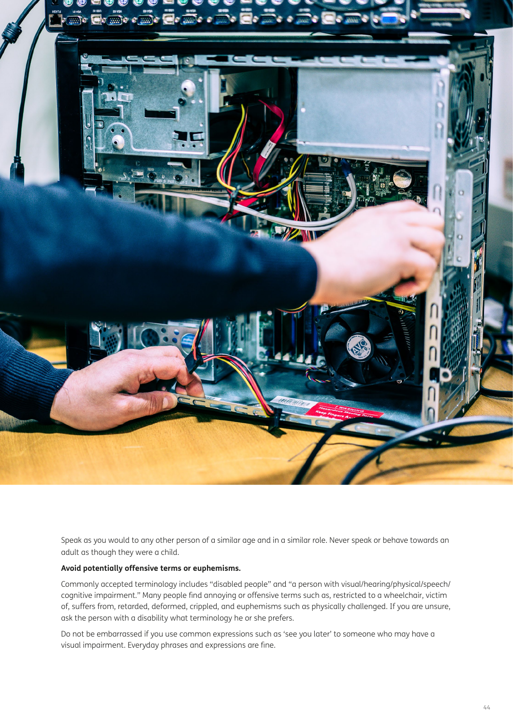

Speak as you would to any other person of a similar age and in a similar role. Never speak or behave towards an adult as though they were a child.

# **Avoid potentially offensive terms or euphemisms.**

Commonly accepted terminology includes "disabled people" and "a person with visual/hearing/physical/speech/ cognitive impairment." Many people find annoying or offensive terms such as, restricted to a wheelchair, victim of, suffers from, retarded, deformed, crippled, and euphemisms such as physically challenged. If you are unsure, ask the person with a disability what terminology he or she prefers.

Do not be embarrassed if you use common expressions such as 'see you later' to someone who may have a visual impairment. Everyday phrases and expressions are fine.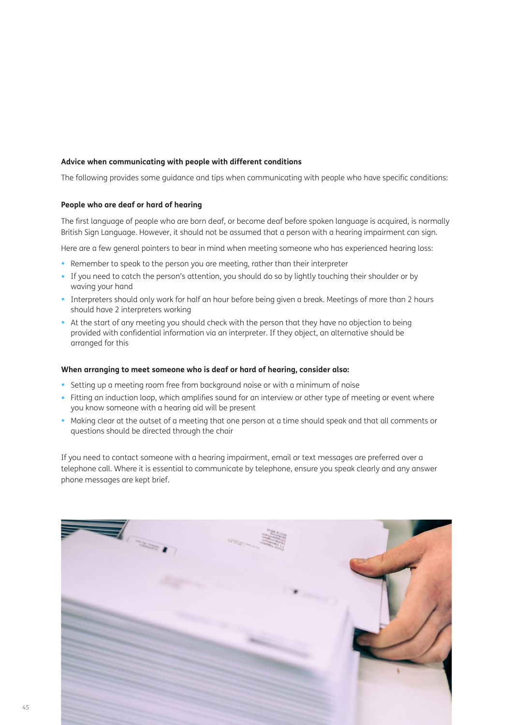# **Advice when communicating with people with different conditions**

The following provides some guidance and tips when communicating with people who have specific conditions:

#### **People who are deaf or hard of hearing**

The first language of people who are born deaf, or become deaf before spoken language is acquired, is normally British Sign Language. However, it should not be assumed that a person with a hearing impairment can sign.

Here are a few general pointers to bear in mind when meeting someone who has experienced hearing loss:

- Remember to speak to the person you are meeting, rather than their interpreter
- If you need to catch the person's attention, you should do so by lightly touching their shoulder or by waving your hand
- Interpreters should only work for half an hour before being given a break. Meetings of more than 2 hours should have 2 interpreters working
- At the start of any meeting you should check with the person that they have no objection to being provided with confidential information via an interpreter. If they object, an alternative should be arranged for this

# **When arranging to meet someone who is deaf or hard of hearing, consider also:**

- Setting up a meeting room free from background noise or with a minimum of noise
- Fitting an induction loop, which amplifies sound for an interview or other type of meeting or event where you know someone with a hearing aid will be present
- Making clear at the outset of a meeting that one person at a time should speak and that all comments or questions should be directed through the chair

If you need to contact someone with a hearing impairment, email or text messages are preferred over a telephone call. Where it is essential to communicate by telephone, ensure you speak clearly and any answer phone messages are kept brief.

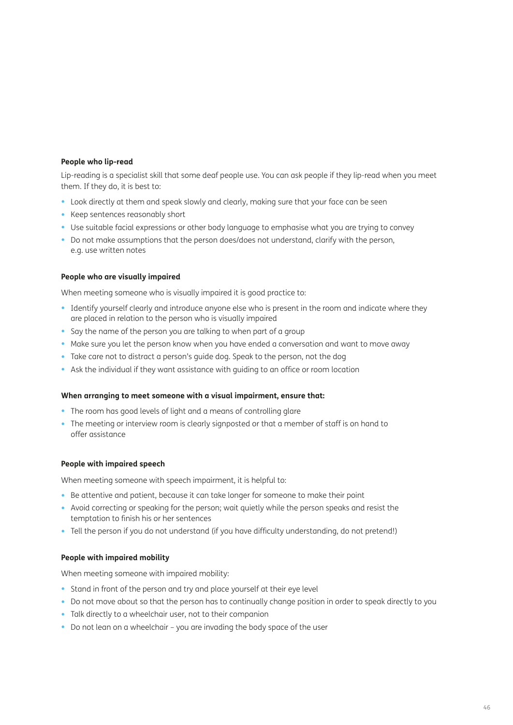# **People who lip-read**

Lip-reading is a specialist skill that some deaf people use. You can ask people if they lip-read when you meet them. If they do, it is best to:

- Look directly at them and speak slowly and clearly, making sure that your face can be seen
- Keep sentences reasonably short
- Use suitable facial expressions or other body language to emphasise what you are trying to convey
- Do not make assumptions that the person does/does not understand, clarify with the person, e.g. use written notes

# **People who are visually impaired**

When meeting someone who is visually impaired it is good practice to:

- Identify yourself clearly and introduce anyone else who is present in the room and indicate where they are placed in relation to the person who is visually impaired
- Say the name of the person you are talking to when part of a group
- Make sure you let the person know when you have ended a conversation and want to move away
- Take care not to distract a person's guide dog. Speak to the person, not the dog
- Ask the individual if they want assistance with guiding to an office or room location

# **When arranging to meet someone with a visual impairment, ensure that:**

- The room has good levels of light and a means of controlling glare
- The meeting or interview room is clearly signposted or that a member of staff is on hand to offer assistance

# **People with impaired speech**

When meeting someone with speech impairment, it is helpful to:

- Be attentive and patient, because it can take longer for someone to make their point
- Avoid correcting or speaking for the person; wait quietly while the person speaks and resist the temptation to finish his or her sentences
- Tell the person if you do not understand (if you have difficulty understanding, do not pretend!)

# **People with impaired mobility**

When meeting someone with impaired mobility:

- Stand in front of the person and try and place yourself at their eye level
- Do not move about so that the person has to continually change position in order to speak directly to you
- Talk directly to a wheelchair user, not to their companion
- Do not lean on a wheelchair you are invading the body space of the user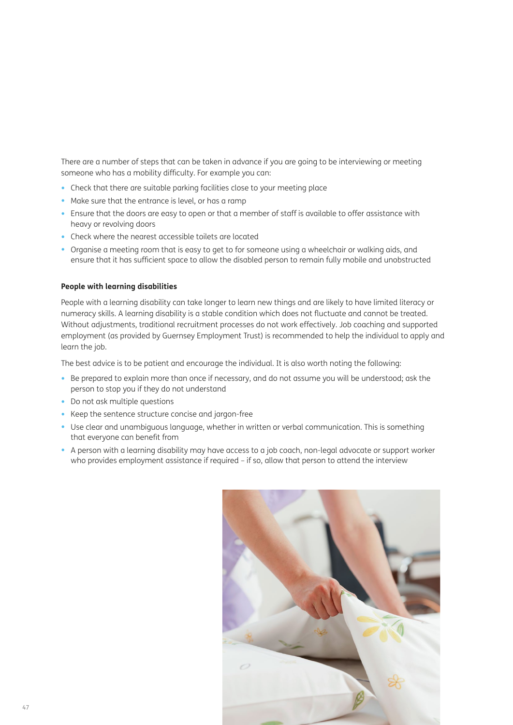There are a number of steps that can be taken in advance if you are going to be interviewing or meeting someone who has a mobility difficulty. For example you can:

- Check that there are suitable parking facilities close to your meeting place
- Make sure that the entrance is level, or has a ramp
- Ensure that the doors are easy to open or that a member of staff is available to offer assistance with heavy or revolving doors
- Check where the nearest accessible toilets are located
- Organise a meeting room that is easy to get to for someone using a wheelchair or walking aids, and ensure that it has sufficient space to allow the disabled person to remain fully mobile and unobstructed

#### **People with learning disabilities**

People with a learning disability can take longer to learn new things and are likely to have limited literacy or numeracy skills. A learning disability is a stable condition which does not fluctuate and cannot be treated. Without adjustments, traditional recruitment processes do not work effectively. Job coaching and supported employment (as provided by Guernsey Employment Trust) is recommended to help the individual to apply and learn the job.

The best advice is to be patient and encourage the individual. It is also worth noting the following:

- Be prepared to explain more than once if necessary, and do not assume you will be understood; ask the person to stop you if they do not understand
- Do not ask multiple questions
- Keep the sentence structure concise and jargon-free
- Use clear and unambiguous language, whether in written or verbal communication. This is something that everyone can benefit from
- A person with a learning disability may have access to a job coach, non-legal advocate or support worker who provides employment assistance if required - if so, allow that person to attend the interview

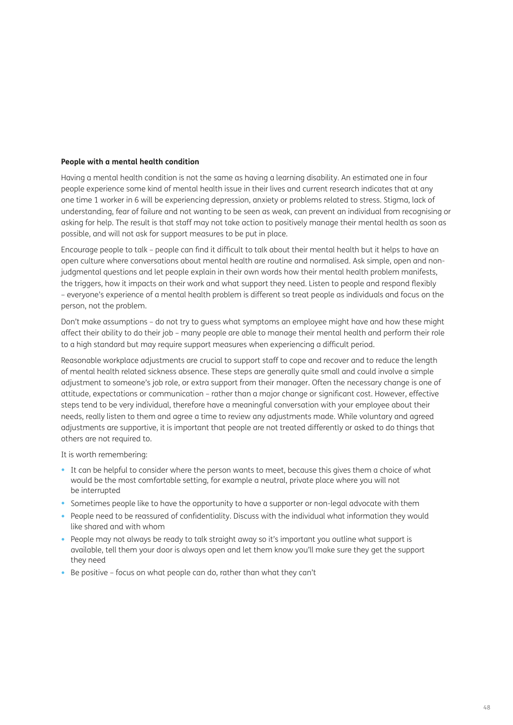## **People with a mental health condition**

Having a mental health condition is not the same as having a learning disability. An estimated one in four people experience some kind of mental health issue in their lives and current research indicates that at any one time 1 worker in 6 will be experiencing depression, anxiety or problems related to stress. Stigma, lack of understanding, fear of failure and not wanting to be seen as weak, can prevent an individual from recognising or asking for help. The result is that staff may not take action to positively manage their mental health as soon as possible, and will not ask for support measures to be put in place.

Encourage people to talk – people can find it difficult to talk about their mental health but it helps to have an open culture where conversations about mental health are routine and normalised. Ask simple, open and nonjudgmental questions and let people explain in their own words how their mental health problem manifests, the triggers, how it impacts on their work and what support they need. Listen to people and respond flexibly – everyone's experience of a mental health problem is different so treat people as individuals and focus on the person, not the problem.

Don't make assumptions – do not try to guess what symptoms an employee might have and how these might affect their ability to do their job – many people are able to manage their mental health and perform their role to a high standard but may require support measures when experiencing a difficult period.

Reasonable workplace adjustments are crucial to support staff to cope and recover and to reduce the length of mental health related sickness absence. These steps are generally quite small and could involve a simple adjustment to someone's job role, or extra support from their manager. Often the necessary change is one of attitude, expectations or communication – rather than a major change or significant cost. However, effective steps tend to be very individual, therefore have a meaningful conversation with your employee about their needs, really listen to them and agree a time to review any adjustments made. While voluntary and agreed adjustments are supportive, it is important that people are not treated differently or asked to do things that others are not required to.

It is worth remembering:

- It can be helpful to consider where the person wants to meet, because this gives them a choice of what would be the most comfortable setting, for example a neutral, private place where you will not be interrupted
- Sometimes people like to have the opportunity to have a supporter or non-legal advocate with them
- People need to be reassured of confidentiality. Discuss with the individual what information they would like shared and with whom
- People may not always be ready to talk straight away so it's important you outline what support is available, tell them your door is always open and let them know you'll make sure they get the support they need
- Be positive focus on what people can do, rather than what they can't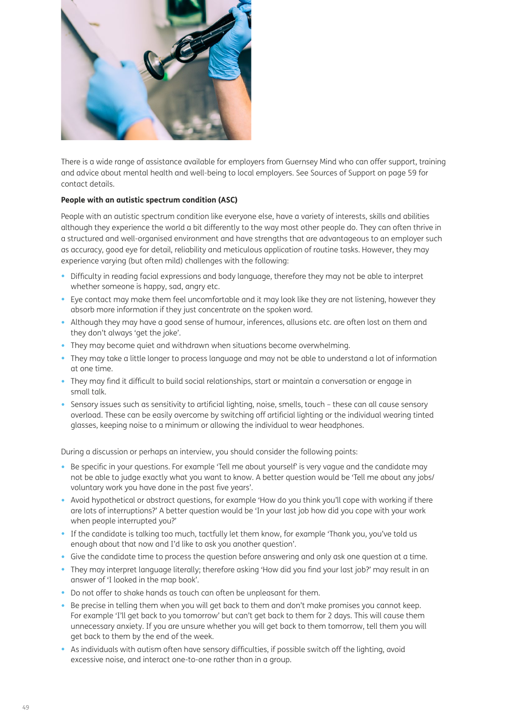

There is a wide range of assistance available for employers from Guernsey Mind who can offer support, training and advice about mental health and well-being to local employers. See Sources of Support on page 59 for contact details.

# **People with an autistic spectrum condition (ASC)**

People with an autistic spectrum condition like everyone else, have a variety of interests, skills and abilities although they experience the world a bit differently to the way most other people do. They can often thrive in a structured and well-organised environment and have strengths that are advantageous to an employer such as accuracy, good eye for detail, reliability and meticulous application of routine tasks. However, they may experience varying (but often mild) challenges with the following:

- Difficulty in reading facial expressions and body language, therefore they may not be able to interpret whether someone is happy, sad, angry etc.
- Eye contact may make them feel uncomfortable and it may look like they are not listening, however they absorb more information if they just concentrate on the spoken word.
- Although they may have a good sense of humour, inferences, allusions etc. are often lost on them and they don't always 'get the joke'.
- They may become quiet and withdrawn when situations become overwhelming.
- They may take a little longer to process language and may not be able to understand a lot of information at one time.
- They may find it difficult to build social relationships, start or maintain a conversation or engage in small talk.
- Sensory issues such as sensitivity to artificial lighting, noise, smells, touch these can all cause sensory overload. These can be easily overcome by switching off artificial lighting or the individual wearing tinted glasses, keeping noise to a minimum or allowing the individual to wear headphones.

During a discussion or perhaps an interview, you should consider the following points:

- Be specific in your questions. For example 'Tell me about yourself' is very vague and the candidate may not be able to judge exactly what you want to know. A better question would be 'Tell me about any jobs/ voluntary work you have done in the past five years'.
- Avoid hypothetical or abstract questions, for example 'How do you think you'll cope with working if there are lots of interruptions?' A better question would be 'In your last job how did you cope with your work when people interrupted you?'
- If the candidate is talking too much, tactfully let them know, for example 'Thank you, you've told us enough about that now and I'd like to ask you another question'.
- Give the candidate time to process the question before answering and only ask one question at a time.
- They may interpret language literally; therefore asking 'How did you find your last job?' may result in an answer of 'I looked in the map book'.
- Do not offer to shake hands as touch can often be unpleasant for them.
- Be precise in telling them when you will get back to them and don't make promises you cannot keep. For example 'I'll get back to you tomorrow' but can't get back to them for 2 days. This will cause them unnecessary anxiety. If you are unsure whether you will get back to them tomorrow, tell them you will get back to them by the end of the week.
- As individuals with autism often have sensory difficulties, if possible switch off the lighting, avoid excessive noise, and interact one-to-one rather than in a group.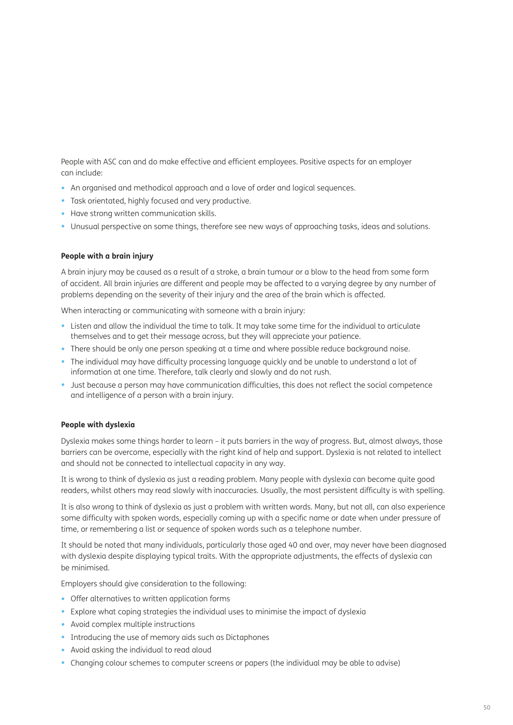People with ASC can and do make effective and efficient employees. Positive aspects for an employer can include:

- An organised and methodical approach and a love of order and logical sequences.
- Task orientated, highly focused and very productive.
- Have strong written communication skills.
- Unusual perspective on some things, therefore see new ways of approaching tasks, ideas and solutions.

#### **People with a brain injury**

A brain injury may be caused as a result of a stroke, a brain tumour or a blow to the head from some form of accident. All brain injuries are different and people may be affected to a varying degree by any number of problems depending on the severity of their injury and the area of the brain which is affected.

When interacting or communicating with someone with a brain injury:

- Listen and allow the individual the time to talk. It may take some time for the individual to articulate themselves and to get their message across, but they will appreciate your patience.
- There should be only one person speaking at a time and where possible reduce background noise.
- The individual may have difficulty processing language quickly and be unable to understand a lot of information at one time. Therefore, talk clearly and slowly and do not rush.
- Just because a person may have communication difficulties, this does not reflect the social competence and intelligence of a person with a brain injury.

# **People with dyslexia**

Dyslexia makes some things harder to learn – it puts barriers in the way of progress. But, almost always, those barriers can be overcome, especially with the right kind of help and support. Dyslexia is not related to intellect and should not be connected to intellectual capacity in any way.

It is wrong to think of dyslexia as just a reading problem. Many people with dyslexia can become quite good readers, whilst others may read slowly with inaccuracies. Usually, the most persistent difficulty is with spelling.

It is also wrong to think of dyslexia as just a problem with written words. Many, but not all, can also experience some difficulty with spoken words, especially coming up with a specific name or date when under pressure of time, or remembering a list or sequence of spoken words such as a telephone number.

It should be noted that many individuals, particularly those aged 40 and over, may never have been diagnosed with dyslexia despite displaying typical traits. With the appropriate adjustments, the effects of dyslexia can be minimised.

Employers should give consideration to the following:

- Offer alternatives to written application forms
- Explore what coping strategies the individual uses to minimise the impact of dyslexia
- Avoid complex multiple instructions
- Introducing the use of memory aids such as Dictaphones
- Avoid asking the individual to read aloud
- Changing colour schemes to computer screens or papers (the individual may be able to advise)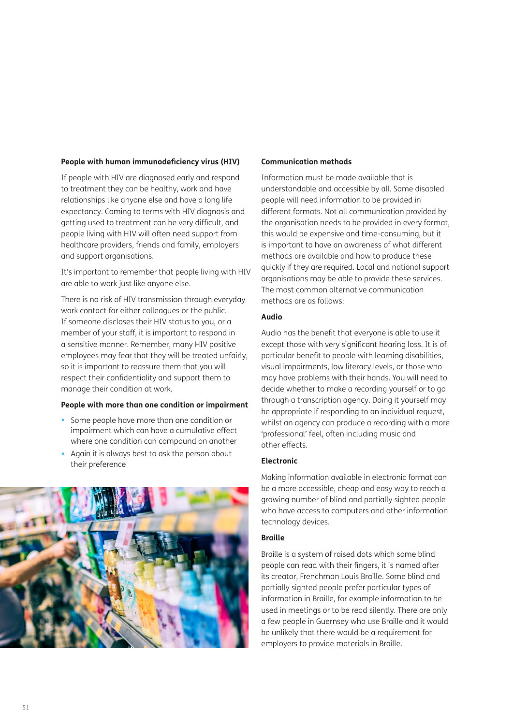#### **People with human immunodeficiency virus (HIV)**

If people with HIV are diagnosed early and respond to treatment they can be healthy, work and have relationships like anyone else and have a long life expectancy. Coming to terms with HIV diagnosis and getting used to treatment can be very difficult, and people living with HIV will often need support from healthcare providers, friends and family, employers and support organisations.

It's important to remember that people living with HIV are able to work just like anyone else.

There is no risk of HIV transmission through everyday work contact for either colleagues or the public. If someone discloses their HIV status to you, or a member of your staff, it is important to respond in a sensitive manner. Remember, many HIV positive employees may fear that they will be treated unfairly, so it is important to reassure them that you will respect their confidentiality and support them to manage their condition at work.

#### **People with more than one condition or impairment**

- Some people have more than one condition or impairment which can have a cumulative effect where one condition can compound on another
- Again it is always best to ask the person about their preference



#### **Communication methods**

Information must be made available that is understandable and accessible by all. Some disabled people will need information to be provided in different formats. Not all communication provided by the organisation needs to be provided in every format, this would be expensive and time-consuming, but it is important to have an awareness of what different methods are available and how to produce these quickly if they are required. Local and national support organisations may be able to provide these services. The most common alternative communication methods are as follows:

# **Audio**

Audio has the benefit that everyone is able to use it except those with very significant hearing loss. It is of particular benefit to people with learning disabilities, visual impairments, low literacy levels, or those who may have problems with their hands. You will need to decide whether to make a recording yourself or to go through a transcription agency. Doing it yourself may be appropriate if responding to an individual request, whilst an agency can produce a recording with a more 'professional' feel, often including music and other effects.

# **Electronic**

Making information available in electronic format can be a more accessible, cheap and easy way to reach a growing number of blind and partially sighted people who have access to computers and other information technology devices.

## **Braille**

Braille is a system of raised dots which some blind people can read with their fingers, it is named after its creator, Frenchman Louis Braille. Some blind and partially sighted people prefer particular types of information in Braille, for example information to be used in meetings or to be read silently. There are only a few people in Guernsey who use Braille and it would be unlikely that there would be a requirement for employers to provide materials in Braille.